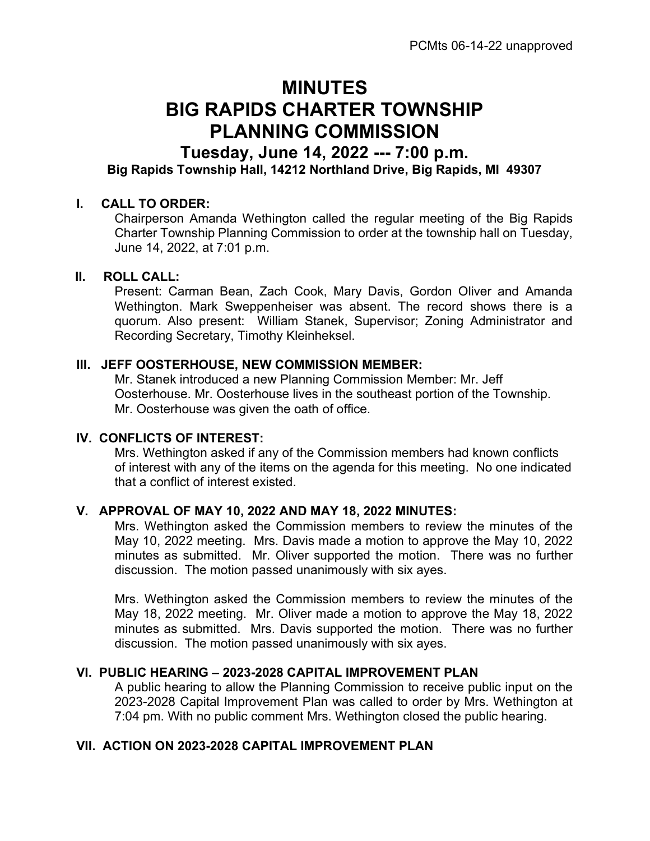# MINUTES BIG RAPIDS CHARTER TOWNSHIP PLANNING COMMISSION

# Tuesday, June 14, 2022 --- 7:00 p.m. Big Rapids Township Hall, 14212 Northland Drive, Big Rapids, MI 49307

#### I. CALL TO ORDER:

Chairperson Amanda Wethington called the regular meeting of the Big Rapids Charter Township Planning Commission to order at the township hall on Tuesday, June 14, 2022, at 7:01 p.m.

### II. ROLL CALL:

Present: Carman Bean, Zach Cook, Mary Davis, Gordon Oliver and Amanda Wethington. Mark Sweppenheiser was absent. The record shows there is a quorum. Also present: William Stanek, Supervisor; Zoning Administrator and Recording Secretary, Timothy Kleinheksel.

### III. JEFF OOSTERHOUSE, NEW COMMISSION MEMBER:

Mr. Stanek introduced a new Planning Commission Member: Mr. Jeff Oosterhouse. Mr. Oosterhouse lives in the southeast portion of the Township. Mr. Oosterhouse was given the oath of office.

### IV. CONFLICTS OF INTEREST:

Mrs. Wethington asked if any of the Commission members had known conflicts of interest with any of the items on the agenda for this meeting. No one indicated that a conflict of interest existed.

### V. APPROVAL OF MAY 10, 2022 AND MAY 18, 2022 MINUTES:

Mrs. Wethington asked the Commission members to review the minutes of the May 10, 2022 meeting. Mrs. Davis made a motion to approve the May 10, 2022 minutes as submitted. Mr. Oliver supported the motion. There was no further discussion. The motion passed unanimously with six ayes.

Mrs. Wethington asked the Commission members to review the minutes of the May 18, 2022 meeting. Mr. Oliver made a motion to approve the May 18, 2022 minutes as submitted. Mrs. Davis supported the motion. There was no further discussion. The motion passed unanimously with six ayes.

## VI. PUBLIC HEARING – 2023-2028 CAPITAL IMPROVEMENT PLAN

A public hearing to allow the Planning Commission to receive public input on the 2023-2028 Capital Improvement Plan was called to order by Mrs. Wethington at 7:04 pm. With no public comment Mrs. Wethington closed the public hearing.

### VII. ACTION ON 2023-2028 CAPITAL IMPROVEMENT PLAN